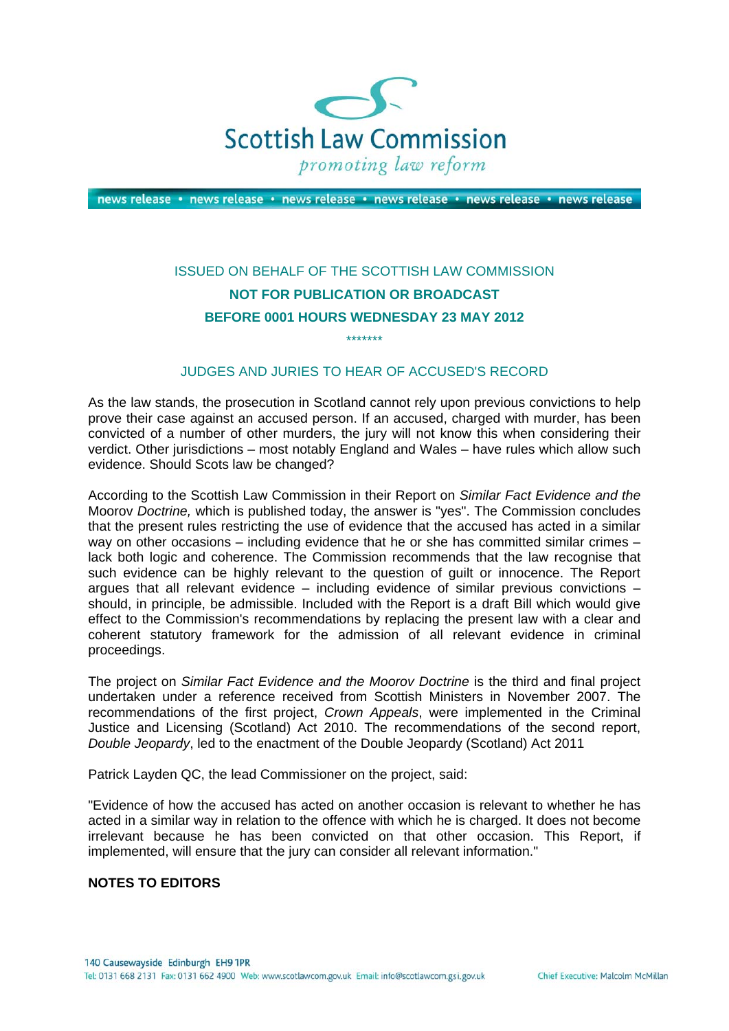

news release · news release · news release · news release · news release · news release

## ISSUED ON BEHALF OF THE SCOTTISH LAW COMMISSION **NOT FOR PUBLICATION OR BROADCAST BEFORE 0001 HOURS WEDNESDAY 23 MAY 2012**

## JUDGES AND JURIES TO HEAR OF ACCUSED'S RECORD

\*\*\*\*\*\*\*

As the law stands, the prosecution in Scotland cannot rely upon previous convictions to help prove their case against an accused person. If an accused, charged with murder, has been convicted of a number of other murders, the jury will not know this when considering their verdict. Other jurisdictions – most notably England and Wales – have rules which allow such evidence. Should Scots law be changed?

According to the Scottish Law Commission in their Report on *Similar Fact Evidence and the*  Moorov *Doctrine,* which is published today, the answer is "yes". The Commission concludes that the present rules restricting the use of evidence that the accused has acted in a similar way on other occasions – including evidence that he or she has committed similar crimes – lack both logic and coherence. The Commission recommends that the law recognise that such evidence can be highly relevant to the question of guilt or innocence. The Report argues that all relevant evidence – including evidence of similar previous convictions – should, in principle, be admissible. Included with the Report is a draft Bill which would give effect to the Commission's recommendations by replacing the present law with a clear and coherent statutory framework for the admission of all relevant evidence in criminal proceedings.

The project on *Similar Fact Evidence and the Moorov Doctrine* is the third and final project undertaken under a reference received from Scottish Ministers in November 2007. The recommendations of the first project, *Crown Appeals*, were implemented in the Criminal Justice and Licensing (Scotland) Act 2010. The recommendations of the second report, *Double Jeopardy*, led to the enactment of the Double Jeopardy (Scotland) Act 2011

Patrick Layden QC, the lead Commissioner on the project, said:

"Evidence of how the accused has acted on another occasion is relevant to whether he has acted in a similar way in relation to the offence with which he is charged. It does not become irrelevant because he has been convicted on that other occasion. This Report, if implemented, will ensure that the jury can consider all relevant information."

## **NOTES TO EDITORS**